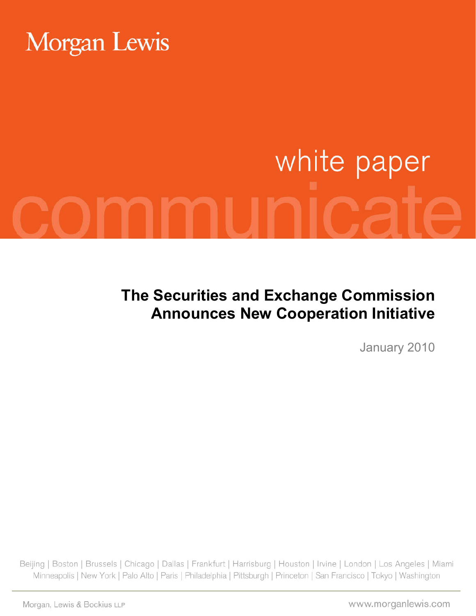# **Morgan Lewis**

# white paper

**The Securities and Exchange Commission Announces New Cooperation Initiative**

January 2010

Beijing | Boston | Brussels | Chicago | Dallas | Frankfurt | Harrisburg | Houston | Irvine | London | Los Angeles | Miami Minneapolis | New York | Palo Alto | Paris | Philadelphia | Pittsburgh | Princeton | San Francisco | Tokyo | Washington

Morgan, Lewis & Bockius LLP

www.morganlewis.com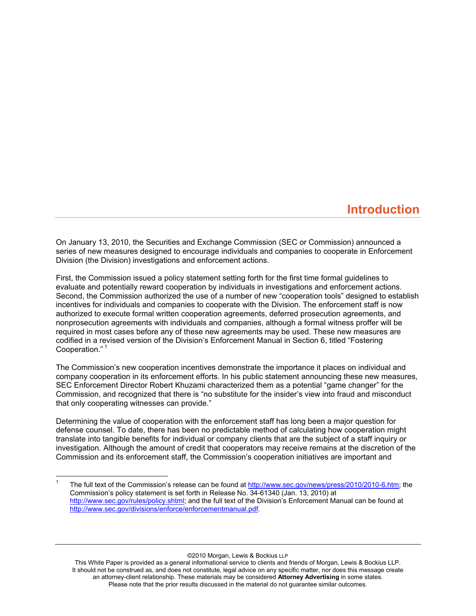# **Introduction**

On January 13, 2010, the Securities and Exchange Commission (SEC or Commission) announced a series of new measures designed to encourage individuals and companies to cooperate in Enforcement Division (the Division) investigations and enforcement actions.

First, the Commission issued a policy statement setting forth for the first time formal guidelines to evaluate and potentially reward cooperation by individuals in investigations and enforcement actions. Second, the Commission authorized the use of a number of new "cooperation tools" designed to establish incentives for individuals and companies to cooperate with the Division. The enforcement staff is now authorized to execute formal written cooperation agreements, deferred prosecution agreements, and nonprosecution agreements with individuals and companies, although a formal witness proffer will be required in most cases before any of these new agreements may be used. These new measures are codified in a revised version of the Division's Enforcement Manual in Section 6, titled "Fostering Cooperation."<sup>1</sup>

The Commission's new cooperation incentives demonstrate the importance it places on individual and company cooperation in its enforcement efforts. In his public statement announcing these new measures, SEC Enforcement Director Robert Khuzami characterized them as a potential "game changer" for the Commission, and recognized that there is "no substitute for the insider's view into fraud and misconduct that only cooperating witnesses can provide."

Determining the value of cooperation with the enforcement staff has long been a major question for defense counsel. To date, there has been no predictable method of calculating how cooperation might translate into tangible benefits for individual or company clients that are the subject of a staff inquiry or investigation. Although the amount of credit that cooperators may receive remains at the discretion of the Commission and its enforcement staff, the Commission's cooperation initiatives are important and

 $\overline{a}$ 

©2010 Morgan, Lewis & Bockius LLP

This White Paper is provided as a general informational service to clients and friends of Morgan, Lewis & Bockius LLP. It should not be construed as, and does not constitute, legal advice on any specific matter, nor does this message create an attorney-client relationship. These materials may be considered **Attorney Advertising** in some states. Please note that the prior results discussed in the material do not guarantee similar outcomes.

<sup>1</sup> The full text of the Commission's release can be found at [http://www.sec.gov/news/press/2010/2010-6.htm;](http://www.sec.gov/news/press/2010/2010-6.htm) the Commission's policy statement is set forth in Release No. 34-61340 (Jan. 13, 2010) at [http://www.sec.gov/rules/policy.shtml;](http://www.sec.gov/rules/policy.shtml) and the full text of the Division's Enforcement Manual can be found at [http://www.sec.gov/divisions/enforce/enforcementmanual.pdf.](http://www.sec.gov/divisions/enforce/enforcementmanual.pdf)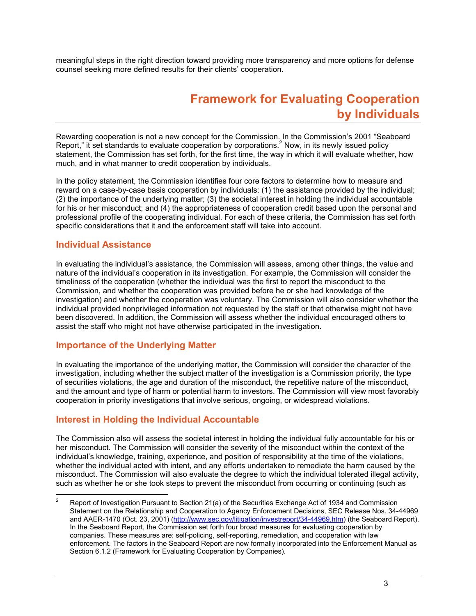meaningful steps in the right direction toward providing more transparency and more options for defense counsel seeking more defined results for their clients' cooperation.

# **Framework for Evaluating Cooperation by Individuals**

Rewarding cooperation is not a new concept for the Commission. In the Commission's 2001 "Seaboard Report," it set standards to evaluate cooperation by corporations. $<sup>2</sup>$  Now, in its newly issued policy</sup> statement, the Commission has set forth, for the first time, the way in which it will evaluate whether, how much, and in what manner to credit cooperation by individuals.

In the policy statement, the Commission identifies four core factors to determine how to measure and reward on a case-by-case basis cooperation by individuals: (1) the assistance provided by the individual; (2) the importance of the underlying matter; (3) the societal interest in holding the individual accountable for his or her misconduct; and (4) the appropriateness of cooperation credit based upon the personal and professional profile of the cooperating individual. For each of these criteria, the Commission has set forth specific considerations that it and the enforcement staff will take into account.

#### **Individual Assistance**

In evaluating the individual's assistance, the Commission will assess, among other things, the value and nature of the individual's cooperation in its investigation. For example, the Commission will consider the timeliness of the cooperation (whether the individual was the first to report the misconduct to the Commission, and whether the cooperation was provided before he or she had knowledge of the investigation) and whether the cooperation was voluntary. The Commission will also consider whether the individual provided nonprivileged information not requested by the staff or that otherwise might not have been discovered. In addition, the Commission will assess whether the individual encouraged others to assist the staff who might not have otherwise participated in the investigation.

#### **Importance of the Underlying Matter**

In evaluating the importance of the underlying matter, the Commission will consider the character of the investigation, including whether the subject matter of the investigation is a Commission priority, the type of securities violations, the age and duration of the misconduct, the repetitive nature of the misconduct, and the amount and type of harm or potential harm to investors. The Commission will view most favorably cooperation in priority investigations that involve serious, ongoing, or widespread violations.

#### **Interest in Holding the Individual Accountable**

The Commission also will assess the societal interest in holding the individual fully accountable for his or her misconduct. The Commission will consider the severity of the misconduct within the context of the individual's knowledge, training, experience, and position of responsibility at the time of the violations, whether the individual acted with intent, and any efforts undertaken to remediate the harm caused by the misconduct. The Commission will also evaluate the degree to which the individual tolerated illegal activity, such as whether he or she took steps to prevent the misconduct from occurring or continuing (such as

 $\overline{2}$ <sup>2</sup> Report of Investigation Pursuant to Section 21(a) of the Securities Exchange Act of 1934 and Commission Statement on the Relationship and Cooperation to Agency Enforcement Decisions, SEC Release Nos. 34-44969 and AAER-1470 (Oct. 23, 2001) [\(http://www.sec.gov/litigation/investreport/34-44969.htm\)](http://www.sec.gov/litigation/investreport/34-44969.htm) (the Seaboard Report). In the Seaboard Report, the Commission set forth four broad measures for evaluating cooperation by companies. These measures are: self-policing, self-reporting, remediation, and cooperation with law enforcement. The factors in the Seaboard Report are now formally incorporated into the Enforcement Manual as Section 6.1.2 (Framework for Evaluating Cooperation by Companies).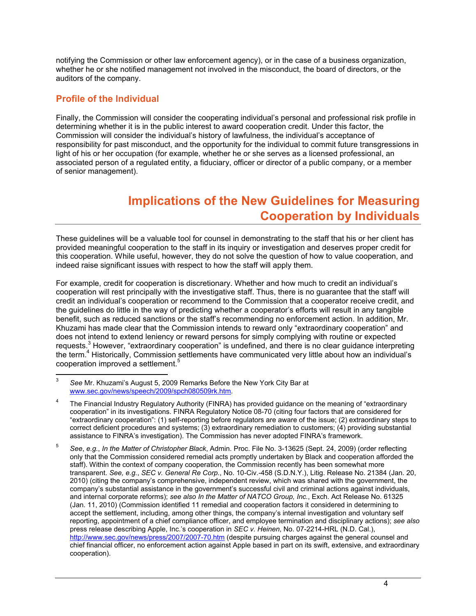notifying the Commission or other law enforcement agency), or in the case of a business organization, whether he or she notified management not involved in the misconduct, the board of directors, or the auditors of the company.

## **Profile of the Individual**

Finally, the Commission will consider the cooperating individual's personal and professional risk profile in determining whether it is in the public interest to award cooperation credit. Under this factor, the Commission will consider the individual's history of lawfulness, the individual's acceptance of responsibility for past misconduct, and the opportunity for the individual to commit future transgressions in light of his or her occupation (for example, whether he or she serves as a licensed professional, an associated person of a regulated entity, a fiduciary, officer or director of a public company, or a member of senior management).

# **Implications of the New Guidelines for Measuring Cooperation by Individuals**

These guidelines will be a valuable tool for counsel in demonstrating to the staff that his or her client has provided meaningful cooperation to the staff in its inquiry or investigation and deserves proper credit for this cooperation. While useful, however, they do not solve the question of how to value cooperation, and indeed raise significant issues with respect to how the staff will apply them.

For example, credit for cooperation is discretionary. Whether and how much to credit an individual's cooperation will rest principally with the investigative staff. Thus, there is no guarantee that the staff will credit an individual's cooperation or recommend to the Commission that a cooperator receive credit, and the guidelines do little in the way of predicting whether a cooperator's efforts will result in any tangible benefit, such as reduced sanctions or the staff's recommending no enforcement action. In addition, Mr. Khuzami has made clear that the Commission intends to reward only "extraordinary cooperation" and does not intend to extend leniency or reward persons for simply complying with routine or expected requests.<sup>3</sup> However, "extraordinary cooperation" is undefined, and there is no clear guidance interpreting the term.<sup>4</sup> Historically, Commission settlements have communicated very little about how an individual's cooperation improved a settlement.<sup>5</sup>

<sup>-&</sup>lt;br>3 *See* Mr. Khuzami's August 5, 2009 Remarks Before the New York City Bar at <www.sec.gov/news/speech/2009/spch080509rk.htm>.

<sup>4</sup> The Financial Industry Regulatory Authority (FINRA) has provided guidance on the meaning of "extraordinary cooperation" in its investigations. FINRA Regulatory Notice 08-70 (citing four factors that are considered for "extraordinary cooperation": (1) self-reporting before regulators are aware of the issue; (2) extraordinary steps to correct deficient procedures and systems; (3) extraordinary remediation to customers; (4) providing substantial assistance to FINRA's investigation). The Commission has never adopted FINRA's framework.

<sup>5</sup> *See*, *e.g.*, *In the Matter of Christopher Black*, Admin. Proc. File No. 3-13625 (Sept. 24, 2009) (order reflecting only that the Commission considered remedial acts promptly undertaken by Black and cooperation afforded the staff). Within the context of company cooperation, the Commission recently has been somewhat more transparent. *See, e.g.*, *SEC v. General Re Corp.*, No. 10-Civ.-458 (S.D.N.Y.), Litig. Release No. 21384 (Jan. 20, 2010) (citing the company's comprehensive, independent review, which was shared with the government, the company's substantial assistance in the government's successful civil and criminal actions against individuals, and internal corporate reforms); *see also In the Matter of NATCO Group, Inc.*, Exch. Act Release No. 61325 (Jan. 11, 2010) (Commission identified 11 remedial and cooperation factors it considered in determining to accept the settlement, including, among other things, the company's internal investigation and voluntary self reporting, appointment of a chief compliance officer, and employee termination and disciplinary actions); *see also* press release describing Apple, Inc.'s cooperation in *SEC v. Heinen*, No. 07-2214-HRL (N.D. Cal.), <http://www.sec.gov/news/press/2007/2007-70.htm>(despite pursuing charges against the general counsel and chief financial officer, no enforcement action against Apple based in part on its swift, extensive, and extraordinary cooperation).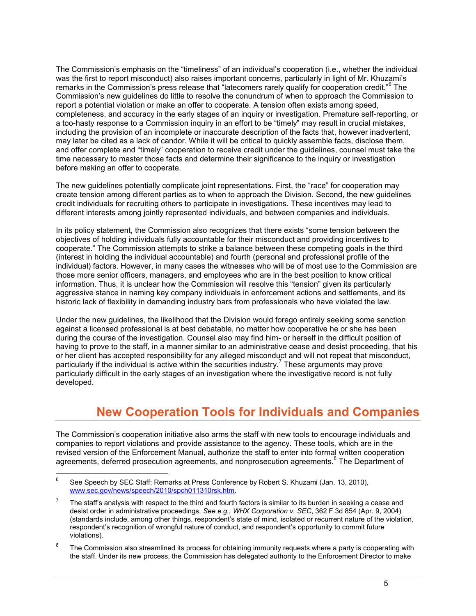The Commission's emphasis on the "timeliness" of an individual's cooperation (i.e., whether the individual was the first to report misconduct) also raises important concerns, particularly in light of Mr. Khuzami's remarks in the Commission's press release that "latecomers rarely qualify for cooperation credit."<sup>6</sup> The Commission's new guidelines do little to resolve the conundrum of when to approach the Commission to report a potential violation or make an offer to cooperate. A tension often exists among speed, completeness, and accuracy in the early stages of an inquiry or investigation. Premature self-reporting, or a too-hasty response to a Commission inquiry in an effort to be "timely" may result in crucial mistakes, including the provision of an incomplete or inaccurate description of the facts that, however inadvertent, may later be cited as a lack of candor. While it will be critical to quickly assemble facts, disclose them, and offer complete and "timely" cooperation to receive credit under the guidelines, counsel must take the time necessary to master those facts and determine their significance to the inquiry or investigation before making an offer to cooperate.

The new guidelines potentially complicate joint representations. First, the "race" for cooperation may create tension among different parties as to when to approach the Division. Second, the new guidelines credit individuals for recruiting others to participate in investigations. These incentives may lead to different interests among jointly represented individuals, and between companies and individuals.

In its policy statement, the Commission also recognizes that there exists "some tension between the objectives of holding individuals fully accountable for their misconduct and providing incentives to cooperate." The Commission attempts to strike a balance between these competing goals in the third (interest in holding the individual accountable) and fourth (personal and professional profile of the individual) factors. However, in many cases the witnesses who will be of most use to the Commission are those more senior officers, managers, and employees who are in the best position to know critical information. Thus, it is unclear how the Commission will resolve this "tension" given its particularly aggressive stance in naming key company individuals in enforcement actions and settlements, and its historic lack of flexibility in demanding industry bars from professionals who have violated the law.

Under the new guidelines, the likelihood that the Division would forego entirely seeking some sanction against a licensed professional is at best debatable, no matter how cooperative he or she has been during the course of the investigation. Counsel also may find him- or herself in the difficult position of having to prove to the staff, in a manner similar to an administrative cease and desist proceeding, that his or her client has accepted responsibility for any alleged misconduct and will not repeat that misconduct, particularly if the individual is active within the securities industry.<sup>7</sup> These arguments may prove particularly difficult in the early stages of an investigation where the investigative record is not fully developed.

# **New Cooperation Tools for Individuals and Companies**

The Commission's cooperation initiative also arms the staff with new tools to encourage individuals and companies to report violations and provide assistance to the agency. These tools, which are in the revised version of the Enforcement Manual, authorize the staff to enter into formal written cooperation agreements, deferred prosecution agreements, and nonprosecution agreements.<sup>8</sup> The Department of

<sup>-&</sup>lt;br>6 See Speech by SEC Staff: Remarks at Press Conference by Robert S. Khuzami (Jan. 13, 2010), [www.sec.gov/news/speech/2010/spch011310rsk.htm.](www.sec.gov/news/speech/2010/spch011310rsk.htm)

<sup>7</sup> The staff's analysis with respect to the third and fourth factors is similar to its burden in seeking a cease and desist order in administrative proceedings. *See e.g., WHX Corporation v. SEC*, 362 F.3d 854 (Apr. 9, 2004) (standards include, among other things, respondent's state of mind, isolated or recurrent nature of the violation, respondent's recognition of wrongful nature of conduct, and respondent's opportunity to commit future violations).

<sup>8</sup> The Commission also streamlined its process for obtaining immunity requests where a party is cooperating with the staff. Under its new process, the Commission has delegated authority to the Enforcement Director to make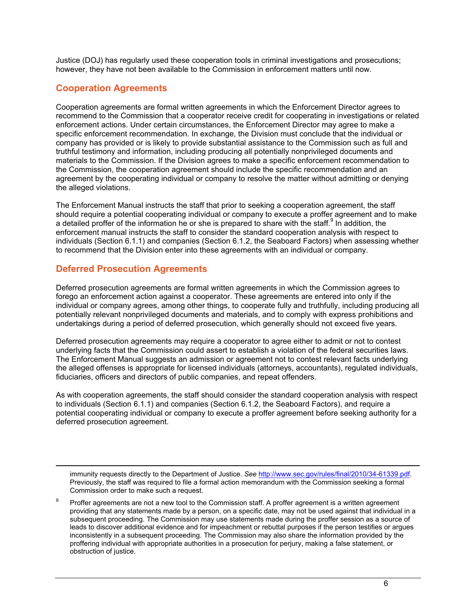Justice (DOJ) has regularly used these cooperation tools in criminal investigations and prosecutions; however, they have not been available to the Commission in enforcement matters until now.

#### **Cooperation Agreements**

Cooperation agreements are formal written agreements in which the Enforcement Director agrees to recommend to the Commission that a cooperator receive credit for cooperating in investigations or related enforcement actions. Under certain circumstances, the Enforcement Director may agree to make a specific enforcement recommendation. In exchange, the Division must conclude that the individual or company has provided or is likely to provide substantial assistance to the Commission such as full and truthful testimony and information, including producing all potentially nonprivileged documents and materials to the Commission. If the Division agrees to make a specific enforcement recommendation to the Commission, the cooperation agreement should include the specific recommendation and an agreement by the cooperating individual or company to resolve the matter without admitting or denying the alleged violations.

The Enforcement Manual instructs the staff that prior to seeking a cooperation agreement, the staff should require a potential cooperating individual or company to execute a proffer agreement and to make a detailed proffer of the information he or she is prepared to share with the staff. In addition, the enforcement manual instructs the staff to consider the standard cooperation analysis with respect to individuals (Section 6.1.1) and companies (Section 6.1.2, the Seaboard Factors) when assessing whether to recommend that the Division enter into these agreements with an individual or company.

## **Deferred Prosecution Agreements**

 $\overline{a}$ 

Deferred prosecution agreements are formal written agreements in which the Commission agrees to forego an enforcement action against a cooperator. These agreements are entered into only if the individual or company agrees, among other things, to cooperate fully and truthfully, including producing all potentially relevant nonprivileged documents and materials, and to comply with express prohibitions and undertakings during a period of deferred prosecution, which generally should not exceed five years.

Deferred prosecution agreements may require a cooperator to agree either to admit or not to contest underlying facts that the Commission could assert to establish a violation of the federal securities laws. The Enforcement Manual suggests an admission or agreement not to contest relevant facts underlying the alleged offenses is appropriate for licensed individuals (attorneys, accountants), regulated individuals, fiduciaries, officers and directors of public companies, and repeat offenders.

As with cooperation agreements, the staff should consider the standard cooperation analysis with respect to individuals (Section 6.1.1) and companies (Section 6.1.2, the Seaboard Factors), and require a potential cooperating individual or company to execute a proffer agreement before seeking authority for a deferred prosecution agreement.

immunity requests directly to the Department of Justice. *See* [http://www.sec.gov/rules/final/2010/34-61339.pdf.](http://www.sec.gov/rules/final/2010/34-61339.pdf) Previously, the staff was required to file a formal action memorandum with the Commission seeking a formal Commission order to make such a request.

 $\mathsf{q}$ Proffer agreements are not a new tool to the Commission staff. A proffer agreement is a written agreement providing that any statements made by a person, on a specific date, may not be used against that individual in a subsequent proceeding. The Commission may use statements made during the proffer session as a source of leads to discover additional evidence and for impeachment or rebuttal purposes if the person testifies or argues inconsistently in a subsequent proceeding. The Commission may also share the information provided by the proffering individual with appropriate authorities in a prosecution for perjury, making a false statement, or obstruction of justice.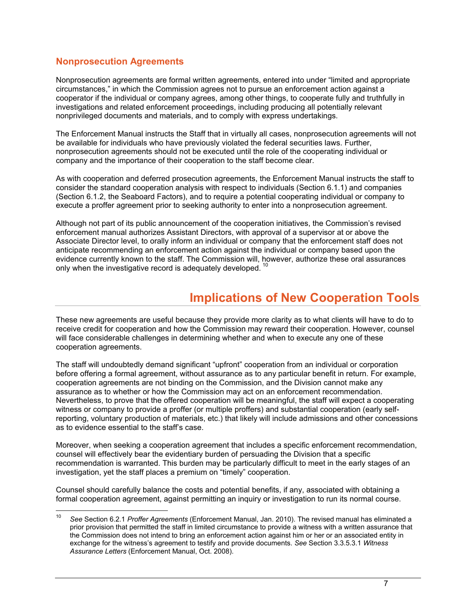#### **Nonprosecution Agreements**

Nonprosecution agreements are formal written agreements, entered into under "limited and appropriate circumstances," in which the Commission agrees not to pursue an enforcement action against a cooperator if the individual or company agrees, among other things, to cooperate fully and truthfully in investigations and related enforcement proceedings, including producing all potentially relevant nonprivileged documents and materials, and to comply with express undertakings.

The Enforcement Manual instructs the Staff that in virtually all cases, nonprosecution agreements will not be available for individuals who have previously violated the federal securities laws. Further, nonprosecution agreements should not be executed until the role of the cooperating individual or company and the importance of their cooperation to the staff become clear.

As with cooperation and deferred prosecution agreements, the Enforcement Manual instructs the staff to consider the standard cooperation analysis with respect to individuals (Section 6.1.1) and companies (Section 6.1.2, the Seaboard Factors), and to require a potential cooperating individual or company to execute a proffer agreement prior to seeking authority to enter into a nonprosecution agreement.

Although not part of its public announcement of the cooperation initiatives, the Commission's revised enforcement manual authorizes Assistant Directors, with approval of a supervisor at or above the Associate Director level, to orally inform an individual or company that the enforcement staff does not anticipate recommending an enforcement action against the individual or company based upon the evidence currently known to the staff. The Commission will, however, authorize these oral assurances only when the investigative record is adequately developed.

# **Implications of New Cooperation Tools**

These new agreements are useful because they provide more clarity as to what clients will have to do to receive credit for cooperation and how the Commission may reward their cooperation. However, counsel will face considerable challenges in determining whether and when to execute any one of these cooperation agreements.

The staff will undoubtedly demand significant "upfront" cooperation from an individual or corporation before offering a formal agreement, without assurance as to any particular benefit in return. For example, cooperation agreements are not binding on the Commission, and the Division cannot make any assurance as to whether or how the Commission may act on an enforcement recommendation. Nevertheless, to prove that the offered cooperation will be meaningful, the staff will expect a cooperating witness or company to provide a proffer (or multiple proffers) and substantial cooperation (early selfreporting, voluntary production of materials, etc.) that likely will include admissions and other concessions as to evidence essential to the staff's case.

Moreover, when seeking a cooperation agreement that includes a specific enforcement recommendation, counsel will effectively bear the evidentiary burden of persuading the Division that a specific recommendation is warranted. This burden may be particularly difficult to meet in the early stages of an investigation, yet the staff places a premium on "timely" cooperation.

Counsel should carefully balance the costs and potential benefits, if any, associated with obtaining a formal cooperation agreement, against permitting an inquiry or investigation to run its normal course.

 $10<sup>10</sup>$ <sup>10</sup> *See* Section 6.2.1 *Proffer Agreements* (Enforcement Manual, Jan. 2010). The revised manual has eliminated a prior provision that permitted the staff in limited circumstance to provide a witness with a written assurance that the Commission does not intend to bring an enforcement action against him or her or an associated entity in exchange for the witness's agreement to testify and provide documents. *See* Section 3.3.5.3.1 *Witness Assurance Letters* (Enforcement Manual, Oct. 2008).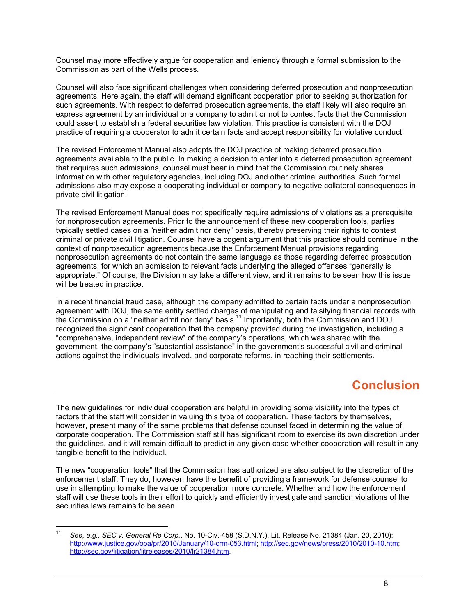Counsel may more effectively argue for cooperation and leniency through a formal submission to the Commission as part of the Wells process.

Counsel will also face significant challenges when considering deferred prosecution and nonprosecution agreements. Here again, the staff will demand significant cooperation prior to seeking authorization for such agreements. With respect to deferred prosecution agreements, the staff likely will also require an express agreement by an individual or a company to admit or not to contest facts that the Commission could assert to establish a federal securities law violation. This practice is consistent with the DOJ practice of requiring a cooperator to admit certain facts and accept responsibility for violative conduct.

The revised Enforcement Manual also adopts the DOJ practice of making deferred prosecution agreements available to the public. In making a decision to enter into a deferred prosecution agreement that requires such admissions, counsel must bear in mind that the Commission routinely shares information with other regulatory agencies, including DOJ and other criminal authorities. Such formal admissions also may expose a cooperating individual or company to negative collateral consequences in private civil litigation.

The revised Enforcement Manual does not specifically require admissions of violations as a prerequisite for nonprosecution agreements. Prior to the announcement of these new cooperation tools, parties typically settled cases on a "neither admit nor deny" basis, thereby preserving their rights to contest criminal or private civil litigation. Counsel have a cogent argument that this practice should continue in the context of nonprosecution agreements because the Enforcement Manual provisions regarding nonprosecution agreements do not contain the same language as those regarding deferred prosecution agreements, for which an admission to relevant facts underlying the alleged offenses "generally is appropriate." Of course, the Division may take a different view, and it remains to be seen how this issue will be treated in practice.

In a recent financial fraud case, although the company admitted to certain facts under a nonprosecution agreement with DOJ, the same entity settled charges of manipulating and falsifying financial records with the Commission on a "neither admit nor deny" basis.<sup>11</sup> Importantly, both the Commission and DOJ recognized the significant cooperation that the company provided during the investigation, including a "comprehensive, independent review" of the company's operations, which was shared with the government, the company's "substantial assistance" in the government's successful civil and criminal actions against the individuals involved, and corporate reforms, in reaching their settlements.

# **Conclusion**

The new guidelines for individual cooperation are helpful in providing some visibility into the types of factors that the staff will consider in valuing this type of cooperation. These factors by themselves, however, present many of the same problems that defense counsel faced in determining the value of corporate cooperation. The Commission staff still has significant room to exercise its own discretion under the guidelines, and it will remain difficult to predict in any given case whether cooperation will result in any tangible benefit to the individual.

The new "cooperation tools" that the Commission has authorized are also subject to the discretion of the enforcement staff. They do, however, have the benefit of providing a framework for defense counsel to use in attempting to make the value of cooperation more concrete. Whether and how the enforcement staff will use these tools in their effort to quickly and efficiently investigate and sanction violations of the securities laws remains to be seen.

 $11$ <sup>11</sup> *See, e.g., SEC v. General Re Corp.*, No. 10-Civ.-458 (S.D.N.Y.), Lit. Release No. 21384 (Jan. 20, 2010); [http://www.justice.gov/opa/pr/2010/January/10-crm-053.html;](http://www.justice.gov/opa/pr/2010/January/10-crm-053.html)<http://sec.gov/news/press/2010/2010-10.htm>; [http://sec.gov/litigation/litreleases/2010/lr21384.htm.](http://sec.gov/litigation/litreleases/2010/lr21384.htm)